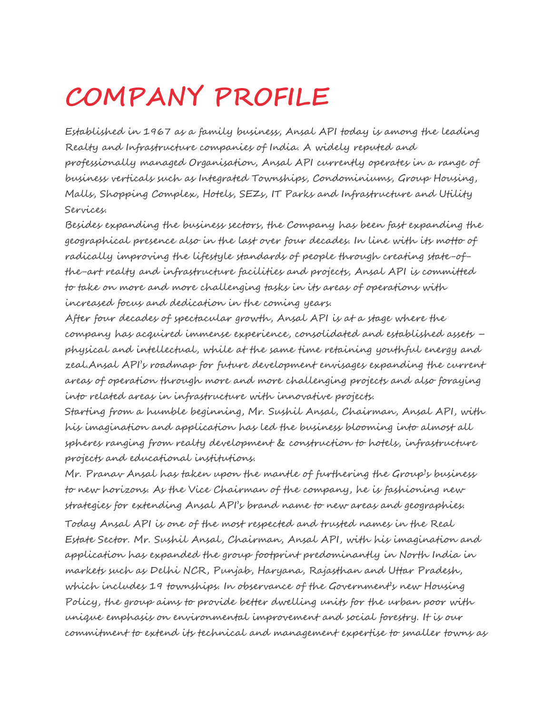# **COMPANY PROFILE**

Established in 1967 as a family business, Ansal API today is among the leading Realty and Infrastructure companies of India. A widely reputed and professionally managed Organisation, Ansal API currently operates in a range of business verticals such as Integrated Townships, Condominiums, Group Housing, Malls, Shopping Complex, Hotels, SEZs, IT Parks and Infrastructure and Utility Services.

Besides expanding the business sectors, the Company has been fast expanding the geographical presence also in the last over four decades. In line with its motto of radically improving the lifestyle standards of people through creating state-ofthe-art realty and infrastructure facilities and projects, Ansal API is committed to take on more and more challenging tasks in its areas of operations with increased focus and dedication in the coming years.

After four decades of spectacular growth, Ansal API is at a stage where the company has acquired immense experience, consolidated and established assets – physical and intellectual, while at the same time retaining youthful energy and zeal.Ansal API's roadmap for future development envisages expanding the current areas of operation through more and more challenging projects and also foraying into related areas in infrastructure with innovative projects.

Starting from a humble beginning, Mr. Sushil Ansal, Chairman, Ansal API, with his imagination and application has led the business blooming into almost all spheres ranging from realty development & construction to hotels, infrastructure projects and educational institutions.

Mr. Pranav Ansal has taken upon the mantle of furthering the Group's business to new horizons. As the Vice Chairman of the company, he is fashioning new strategies for extending Ansal API's brand name to new areas and geographies.

Today Ansal API is one of the most respected and trusted names in the Real Estate Sector. Mr. Sushil Ansal, Chairman, Ansal API, with his imagination and application has expanded the group footprint predominantly in North India in markets such as Delhi NCR, Punjab, Haryana, Rajasthan and Uttar Pradesh, which includes 19 townships. In observance of the Government's new Housing Policy, the group aims to provide better dwelling units for the urban poor with unique emphasis on environmental improvement and social forestry. It is our commitment to extend its technical and management expertise to smaller towns as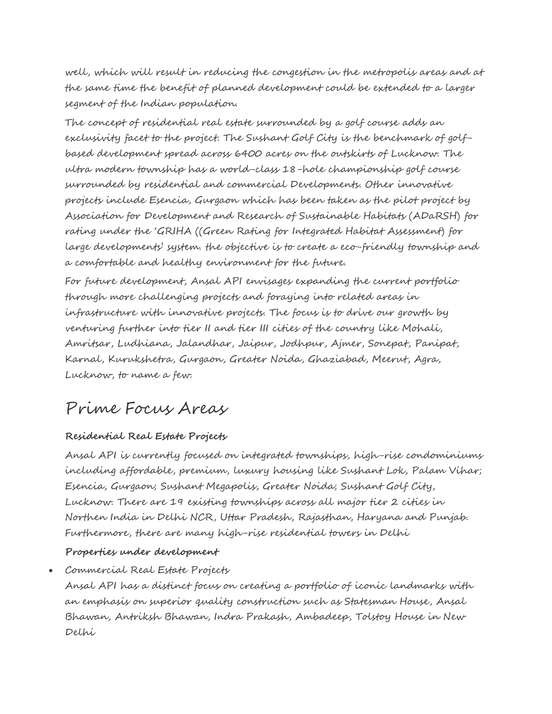well, which will result in reducing the congestion in the metropolis areas and at the same time the benefit of planned development could be extended to a larger segment of the Indian population.

The concept of residential real estate surrounded by a golf course adds an exclusivity facet to the project. The Sushant Golf City is the benchmark of golfbased development spread across 6400 acres on the outskirts of Lucknow. The ultra modern township has a world-class 18-hole championship golf course surrounded by residential and commercial Developments. Other innovative projects include Esencia, Gurgaon which has been taken as the pilot project by Association for Development and Research of Sustainable Habitats (ADaRSH) for rating under the 'GRIHA ((Green Rating for Integrated Habitat Assessment) for large developments' system. the objective is to create a eco-friendly township and a comfortable and healthy environment for the future.

For future development, Ansal API envisages expanding the current portfolio through more challenging projects and foraying into related areas in infrastructure with innovative projects. The focus is to drive our growth by venturing further into tier II and tier III cities of the country like Mohali, Amritsar, Ludhiana, Jalandhar, Jaipur, Jodhpur, Ajmer, Sonepat, Panipat, Karnal, Kurukshetra, Gurgaon, Greater Noida, Ghaziabad, Meerut, Agra, Lucknow, to name a few.

### Prime Focus Areas

#### **Residential Real Estate Projects**

Ansal API is currently focused on integrated townships, high-rise condominiums including affordable, premium, luxury housing like Sushant Lok, Palam Vihar; Esencia, Gurgaon; Sushant Megapolis, Greater Noida; Sushant Golf City, Lucknow. There are 19 existing townships across all major tier 2 cities in Northen India in Delhi NCR, Uttar Pradesh, Rajasthan, Haryana and Punjab. Furthermore, there are many high-rise residential towers in Delhi

#### **Properties under development**

 Commercial Real Estate Projects Ansal API has a distinct focus on creating a portfolio of iconic landmarks with an emphasis on superior quality construction such as Statesman House, Ansal Bhawan, Antriksh Bhawan, Indra Prakash, Ambadeep, Tolstoy House in New Delhi